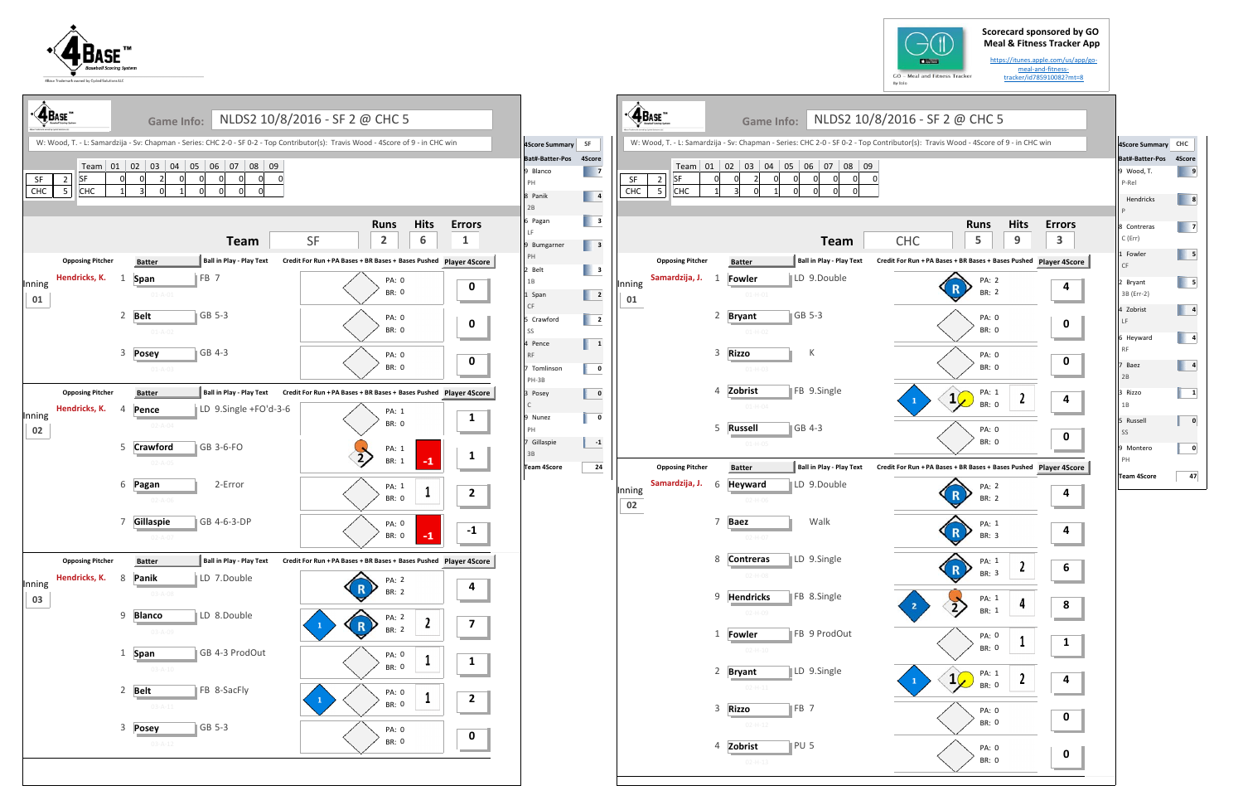## **Scorecard sponsored by GO Meal & Fitness Tracker App**





| <b>4</b> BASE™ |                                                              |                | <b>Game Info:</b>                                                                                                                 | NLDS2 10/8/2016 - SF 2 @ CHC 5                                                                     |                                         |                                                           |                                                                                                                     | $\cdot \hat{\mathbf{A}}$ Base"                              | <b>Game Info:</b>                                  |                                         | NLDS2 10/8/2016 - SF 2 @ CHC 5                                                                                                    |                                                     |
|----------------|--------------------------------------------------------------|----------------|-----------------------------------------------------------------------------------------------------------------------------------|----------------------------------------------------------------------------------------------------|-----------------------------------------|-----------------------------------------------------------|---------------------------------------------------------------------------------------------------------------------|-------------------------------------------------------------|----------------------------------------------------|-----------------------------------------|-----------------------------------------------------------------------------------------------------------------------------------|-----------------------------------------------------|
|                |                                                              |                | W: Wood, T. - L: Samardzija - Sv: Chapman - Series: CHC 2-0 - SF 0-2 - Top Contributor(s): Travis Wood - 4Score of 9 - in CHC win |                                                                                                    |                                         | 4Score Summary SF                                         |                                                                                                                     |                                                             |                                                    |                                         | W: Wood, T. - L: Samardzija - Sv: Chapman - Series: CHC 2-0 - SF 0-2 - Top Contributor(s): Travis Wood - 4Score of 9 - in CHC win |                                                     |
| SF<br>CHC      | <b>SF</b><br>$\overline{2}$<br>$5\phantom{.0}$<br><b>CHC</b> |                | Team 01 02 03 04 05 06 07 08 09<br>$\overline{2}$                                                                                 |                                                                                                    |                                         | Bat#-Batter-Pos 4Score<br>9 Blanco<br>PH<br>8 Panik<br>2B | $\overline{\phantom{a}}$<br>$\begin{array}{ c c c }\n\hline\n\text{4}\n\end{array}$                                 | <b>SF</b><br>$\overline{2}$<br>SF<br>CHC<br>CHC<br>5        |                                                    | Team 01 02 03 04 05 06 07 08 09         | 0                                                                                                                                 |                                                     |
|                |                                                              |                | <b>Team</b>                                                                                                                       | <b>Hits</b><br><b>Runs</b><br><b>SF</b><br>$\overline{2}$<br>6                                     | <b>Errors</b><br>$\mathbf{1}$           | 6 Pagan<br>LE.<br>9 Bumgarner<br>PH                       | $\begin{array}{ c c } \hline \quad3 \\ \hline \end{array}$<br>$\begin{array}{ c c }\n\hline\n\end{array}$ 3         |                                                             |                                                    | <b>Team</b>                             | <b>Runs</b><br><b>CHC</b><br>5                                                                                                    | <b>Hits</b><br>Erro<br>9<br>$\overline{\mathbf{3}}$ |
| Inning<br>01   | <b>Opposing Pitcher</b><br>Hendricks, K.                     | 1              | Ball in Play - Play Text<br><b>Batter</b><br>FB <sub>7</sub><br>Span<br>$01 - A - 01$                                             | Credit For Run + PA Bases + BR Bases + Bases Pushed Player 4Score<br><b>PA: 0</b><br><b>BR: 0</b>  | $\mathbf{0}$                            | 2 Belt<br>1B<br>1 Span                                    | $\begin{array}{ c c } \hline \quad3 \\ \hline \end{array}$<br>$\begin{array}{ c c c }\n\hline\n\hline\n\end{array}$ | <b>Opposing Pitcher</b><br>Samardzija, J. 1<br>Inning<br>01 | <b>Batter</b><br><b>Fowler</b><br>$01 - H - 01$    | Ball in Play - Play Text<br>LD 9.Double | Credit For Run + PA Bases + BR Bases + Bases Pushed Player 49<br>PA: 2<br>BR: 2                                                   |                                                     |
|                |                                                              |                | 2 Belt<br>GB 5-3<br>$01 - A - 02$                                                                                                 | <b>PA: 0</b><br><b>BR: 0</b>                                                                       | $\mathbf 0$                             | <b>CF</b><br>5 Crawford<br>SS<br>4 Pence                  | $\begin{array}{ c c c }\n\hline\n\textbf{2} & \textbf{2}\n\end{array}$<br>$\mathbf{1}$                              |                                                             | 2 Bryant<br>$01 - H - 02$                          | GB 5-3                                  | PA: 0<br><b>BR: 0</b>                                                                                                             | O                                                   |
|                | <b>Opposing Pitcher</b>                                      | 3              | GB 4-3<br><b>Posey</b><br>$01 - A - 03$<br>Ball in Play - Play Text<br><b>Batter</b>                                              | PA: 0<br><b>BR: 0</b><br>Credit For Run + PA Bases + BR Bases + Bases Pushed Player 4Score         | $\mathbf 0$                             | <b>RF</b><br>7 Tomlinson<br>PH-3B                         | $\mathbf 0$<br>$\mathbf 0$                                                                                          |                                                             | <b>Rizzo</b><br>3<br>$01 - H - 03$<br>Zobrist<br>4 | К<br>FB 9.Single                        | PA: 0<br><b>BR: 0</b><br>PA: 1                                                                                                    | O                                                   |
| Inning<br>02   | Hendricks, K.                                                | $\overline{4}$ | LD 9.Single +FO'd-3-6<br>Pence<br>$02 - A - 04$                                                                                   | PA: 1<br><b>BR: 0</b>                                                                              | $\mathbf{1}$                            | 3 Posey<br>C<br>9 Nunez<br>PH                             | $\mathbf 0$                                                                                                         |                                                             | $01 - H - 04$<br>5 Russell                         | GB 4-3                                  | $1\sqrt{ }$<br>BR: 0<br>PA: 0                                                                                                     | $\mathbf{2}$                                        |
|                |                                                              |                | 5 Crawford<br>GB 3-6-FO<br>$02 - A - 05$                                                                                          | PA: 1<br>$\overline{2}$<br>$-1$<br>BR: 1                                                           | $\mathbf{1}$                            | 7 Gillaspie<br>3B<br><b>Team 4Score</b>                   | $-1$<br>24                                                                                                          | <b>Opposing Pitcher</b>                                     | $01-H-05$<br><b>Batter</b>                         | Ball in Play - Play Text                | BR: 0<br>Credit For Run + PA Bases + BR Bases + Bases Pushed Player 49                                                            |                                                     |
|                |                                                              |                | 2-Error<br>6 Pagan<br>$02 - A - 06$                                                                                               | PA: 1<br><b>BR: 0</b>                                                                              | $\overline{2}$                          |                                                           |                                                                                                                     | Samardzija, J.<br>Inning<br>02                              | - 6<br><b>Heyward</b><br>$02 - H - 06$             | LD 9.Double                             | PA: 2<br>R<br>BR: 2                                                                                                               |                                                     |
|                | <b>Opposing Pitcher</b>                                      |                | 7 Gillaspie<br>GB 4-6-3-DP<br>$02 - A - 07$<br><b>Ball in Play - Play Text</b><br><b>Batter</b>                                   | PA: 0<br>$-1$<br><b>BR: 0</b><br>Credit For Run + PA Bases + BR Bases + Bases Pushed Player 4Score | $-1$                                    |                                                           |                                                                                                                     |                                                             | <b>Baez</b><br>-7<br>$02 - H - 07$<br>8 Contreras  | Walk<br>LD 9.Single                     | PA: 1<br>BR: 3<br>PA: 1                                                                                                           |                                                     |
| Inning<br>03   | Hendricks, K.                                                | 8              | LD 7.Double<br>Panik<br>03-A-08                                                                                                   | PA: 2<br>BR: 2                                                                                     | 4                                       |                                                           |                                                                                                                     |                                                             | 02-H-08<br>9 Hendricks                             | FB 8.Single                             | $\mathbf R$<br>BR: 3<br>PA: 1                                                                                                     | 6<br>L<br>8                                         |
|                |                                                              | 9              | LD 8.Double<br><b>Blanco</b><br>03-A-09                                                                                           | PA: 2<br>$\boldsymbol{2}$<br>$\mathbf R$<br><b>BR: 2</b>                                           | $\overline{\mathbf{z}}$                 |                                                           |                                                                                                                     |                                                             | 02-H-09<br><b>Fowler</b><br>$\mathbf{1}$           | FB 9 ProdOut                            | $\sum$<br>BR: 1<br>PA: 0<br><b>BR: 0</b>                                                                                          | $\mathbf{1}$                                        |
|                |                                                              |                | GB 4-3 ProdOut<br>1 Span<br>$03 - A - 10$<br>2 Belt<br>FB 8-SacFly                                                                | PA: 0<br><b>BR: 0</b>                                                                              | $\mathbf{1}$                            |                                                           |                                                                                                                     |                                                             | $02 - H - 10$<br>2 Bryant<br>$02 - H - 11$         | LD 9.Single                             | PA: 1<br>$1\sqrt{ }$<br>BR: 0                                                                                                     | $\mathbf{2}$                                        |
|                |                                                              |                | $03 - A - 11$<br>$\vert$ GB 5-3<br>3 Posey                                                                                        | <b>PA: 0</b><br>$\mathbf{1}$<br><b>BR: 0</b><br>PA: 0                                              | $\mathbf{2}$                            |                                                           |                                                                                                                     |                                                             | 3 Rizzo<br>$02 - H - 12$                           | $\parallel$ FB 7                        | PA: 0<br>BR: 0                                                                                                                    | $\mathbf 0$                                         |
|                |                                                              |                | $03 - A - 12$                                                                                                                     | <b>BR: 0</b>                                                                                       | $\mathbf 0$<br><b>Contract Contract</b> |                                                           |                                                                                                                     |                                                             | 4 Zobrist<br>$02 - H - 13$                         | PU <sub>5</sub>                         | PA: 0<br>BR: 0                                                                                                                    | <b>The Contract</b>                                 |
|                |                                                              |                |                                                                                                                                   |                                                                                                    |                                         |                                                           |                                                                                                                     |                                                             |                                                    |                                         |                                                                                                                                   |                                                     |



https://itunes.apple.com/us/app/go‐ meal‐and‐fitness‐ tracker/id785910082?mt=8



| 4Score Summary CHC       |        |
|--------------------------|--------|
| Bat#-Batter-Pos          | 4Score |
| 9 Wood, T.<br>P-Rel      | 9      |
| Hendricks<br>P           | 8      |
| 8 Contreras<br>$C$ (Err) | 7      |
| 1 Fowler<br>CF           | 5      |
| 2 Bryant<br>3B (Err-2)   | 5      |
| 4 Zobrist<br>LF          | 4      |
| 6 Heyward<br><b>RF</b>   | 4      |
| 7 Baez<br>2B             | 4      |
| 3 Rizzo<br>1B            | 1      |
| 5 Russell<br>SS          | 0      |
| 9 Montero<br>PH          | 0      |
| Team 4Score              | 47     |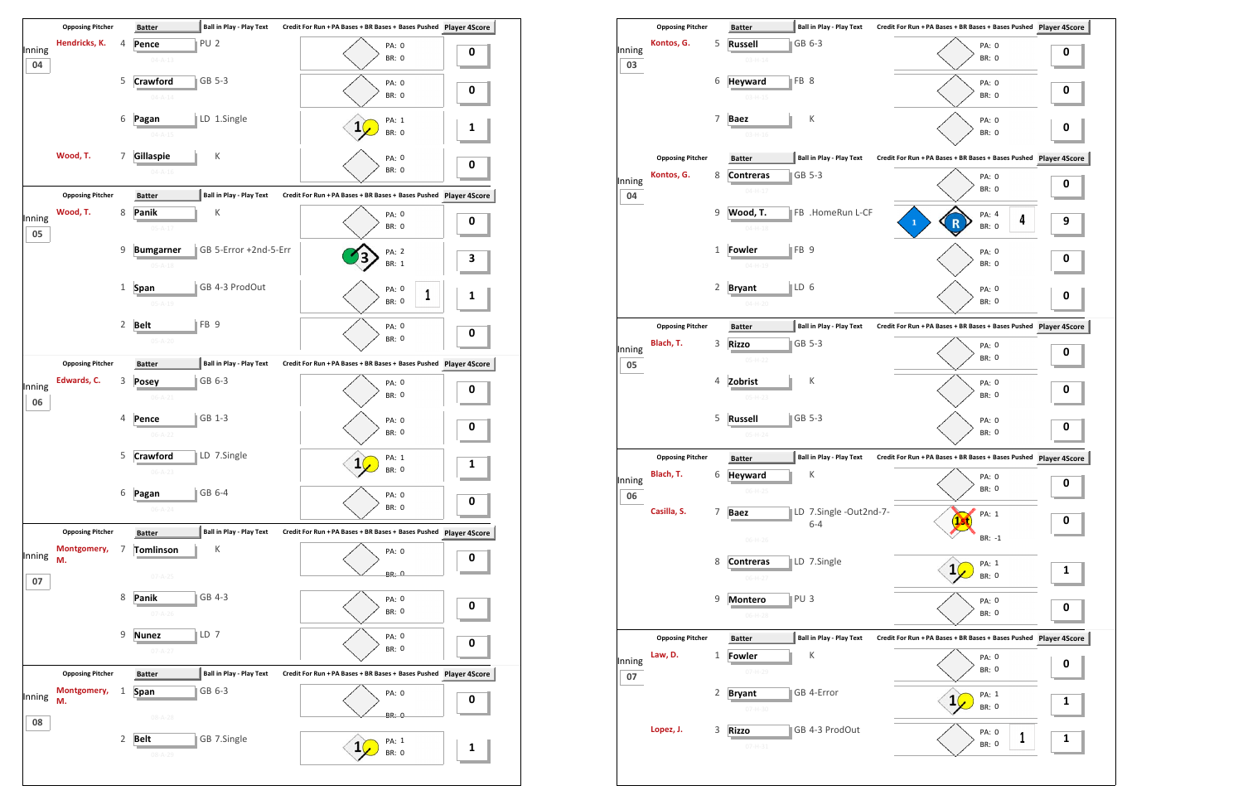

|              | <b>Opposing Pitcher</b>            |              | <b>Ball in Play - Play Text</b><br><b>Batter</b>                       |                        | Credit For Run + PA Bases + BR Bases + Bases Pushed Player 4S          |   |
|--------------|------------------------------------|--------------|------------------------------------------------------------------------|------------------------|------------------------------------------------------------------------|---|
| Inning       | Kontos, G.                         | 5            | GB 6-3<br><b>Russell</b><br>$03 - H - 14$                              |                        | PA: 0<br>BR: 0                                                         | 0 |
| 03           |                                    | 6            | FB 8<br><b>Heyward</b><br>$03 - H - 15$                                |                        | PA: 0<br><b>BR: 0</b>                                                  | 0 |
|              |                                    | 7            | Κ<br><b>Baez</b><br>$03 - H - 16$                                      |                        | PA: 0<br><b>BR: 0</b>                                                  | O |
|              | <b>Opposing Pitcher</b>            |              | <b>Ball in Play - Play Text</b><br><b>Batter</b>                       |                        | Credit For Run + PA Bases + BR Bases + Bases Pushed Player 4S          |   |
| Inning<br>04 | Kontos, G.                         | 8            | GB 5-3<br><b>Contreras</b><br>$04 - H - 17$                            |                        | PA: 0<br><b>BR: 0</b>                                                  | 0 |
|              |                                    | 9            | Wood, T.<br>$04 - H - 18$                                              | FB .HomeRun L-CF       | PA: 4<br>4<br>$\mathbf{1}$<br>BR: 0                                    | 9 |
|              |                                    | 1            | $\parallel$ FB 9<br><b>Fowler</b><br>$04 - H - 19$                     |                        | PA: 0<br><b>BR: 0</b>                                                  | 0 |
|              |                                    | 2            | $\parallel$ LD 6<br><b>Bryant</b><br>$04 - H - 20$                     |                        | PA: 0<br><b>BR: 0</b>                                                  | O |
|              | <b>Opposing Pitcher</b>            |              | <b>Ball in Play - Play Text</b><br><b>Batter</b>                       |                        | Credit For Run + PA Bases + BR Bases + Bases Pushed Player 4S          |   |
| Inning<br>05 | Blach, T.                          | 3            | GB 5-3<br><b>Rizzo</b><br>$05-H-22$                                    |                        | PA: 0<br><b>BR: 0</b>                                                  | 0 |
|              |                                    | 4            | К<br>Zobrist<br>$05-H-23$                                              |                        | PA: 0<br>BR: 0                                                         | 0 |
|              |                                    | 5            | GB 5-3<br><b>Russell</b><br>$05 - H - 24$                              |                        | PA: 0<br><b>BR: 0</b>                                                  | 0 |
|              | <b>Opposing Pitcher</b>            |              | <b>Ball in Play - Play Text</b><br><b>Batter</b>                       |                        | Credit For Run + PA Bases + BR Bases + Bases Pushed Player 4S          |   |
| Inning<br>06 | Blach, T.                          | 6            | К<br><b>Heyward</b><br>$06-H-25$                                       |                        | PA: 0<br>BR: 0                                                         | 0 |
|              | Casilla, S.                        | 7            | <b>Baez</b><br>$6 - 4$                                                 | LD 7.Single -Out2nd-7- | PA: 1<br>1.1                                                           | 0 |
|              |                                    | 8            | $06-H-26$<br>LD 7.Single<br><b>Contreras</b>                           |                        | $BR: -1$<br>PA: 1<br>$\mathbf{1}$                                      |   |
|              |                                    | 9            | $06-H-27$<br>PU <sub>3</sub><br><b>Montero</b>                         |                        | <b>BR: 0</b><br>PA: 0                                                  | 1 |
|              |                                    |              | $06-H-28$                                                              |                        | <b>BR: 0</b>                                                           | 0 |
| Inning       | <b>Opposing Pitcher</b><br>Law, D. | $\mathbf{1}$ | <b>Ball in Play - Play Text</b><br><b>Batter</b><br>К<br><b>Fowler</b> |                        | Credit For Run + PA Bases + BR Bases + Bases Pushed Player 4S<br>PA: 0 | 0 |
| 07           |                                    | 2            | 07-H-29<br>GB 4-Error<br><b>Bryant</b>                                 |                        | BR: 0<br>PA: 1<br>$\mathbf{1}$                                         |   |
|              |                                    |              | $07 - H - 30$                                                          |                        | <b>BR: 0</b>                                                           | 1 |
|              | Lopez, J.                          | 3            | GB 4-3 ProdOut<br><b>Rizzo</b>                                         |                        | PA: 0<br>1                                                             | 1 |